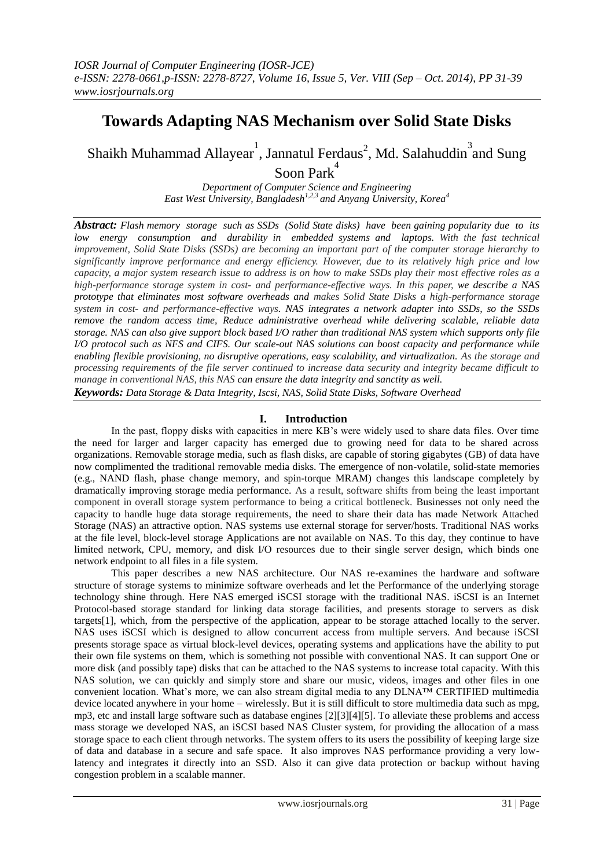# **Towards Adapting NAS Mechanism over Solid State Disks**

Shaikh Muhammad Allayear<sup>1</sup>, Jannatul Ferdaus<sup>2</sup>, Md. Salahuddin<sup>3</sup> and Sung Soon Park<sup>4</sup>

*Department of Computer Science and Engineering East West University, Bangladesh1,2,3 and Anyang University, Korea<sup>4</sup>*

*Abstract: Flash memory storage such as SSDs (Solid State disks) have been gaining popularity due to its*  low energy consumption and durability in embedded systems and laptops. With the fast technical *improvement, Solid State Disks (SSDs) are becoming an important part of the computer storage hierarchy to significantly improve performance and energy efficiency. However, due to its relatively high price and low capacity, a major system research issue to address is on how to make SSDs play their most effective roles as a high-performance storage system in cost- and performance-effective ways. In this paper, we describe a NAS prototype that eliminates most software overheads and makes Solid State Disks a high-performance storage system in cost- and performance-effective ways. NAS integrates a network adapter into SSDs, so the SSDs remove the random access time, Reduce administrative overhead while delivering scalable, reliable data storage. NAS can also give support block based I/O rather than traditional NAS system which supports only file I/O protocol such as NFS and CIFS. Our scale-out NAS solutions can boost capacity and performance while enabling flexible provisioning, no disruptive operations, easy scalability, and virtualization. As the storage and processing requirements of the file server continued to increase data security and integrity became difficult to manage in conventional NAS, this NAS can ensure the data integrity and sanctity as well.*

*Keywords: Data Storage & Data Integrity, Iscsi, NAS, Solid State Disks, Software Overhead*

# **I. Introduction**

In the past, floppy disks with capacities in mere KB's were widely used to share data files. Over time the need for larger and larger capacity has emerged due to growing need for data to be shared across organizations. Removable storage media, such as flash disks, are capable of storing gigabytes (GB) of data have now complimented the traditional removable media disks. The emergence of non-volatile, solid-state memories (e.g., NAND flash, phase change memory, and spin-torque MRAM) changes this landscape completely by dramatically improving storage media performance. As a result, software shifts from being the least important component in overall storage system performance to being a critical bottleneck. Businesses not only need the capacity to handle huge data storage requirements, the need to share their data has made Network Attached Storage (NAS) an attractive option. NAS systems use external storage for server/hosts. Traditional NAS works at the file level, block-level storage Applications are not available on NAS. To this day, they continue to have limited network, CPU, memory, and disk I/O resources due to their single server design, which binds one network endpoint to all files in a file system.

This paper describes a new NAS architecture. Our NAS re-examines the hardware and software structure of storage systems to minimize software overheads and let the Performance of the underlying storage technology shine through. Here NAS emerged iSCSI storage with the traditional NAS. iSCSI is an Internet Protocol-based storage standard for linking data storage facilities, and presents storage to servers as disk targets[1], which, from the perspective of the application, appear to be storage attached locally to the server. NAS uses iSCSI which is designed to allow concurrent access from multiple servers. And because iSCSI presents storage space as virtual block-level devices, operating systems and applications have the ability to put their own file systems on them, which is something not possible with conventional NAS. It can support One or more disk (and possibly tape) disks that can be attached to the NAS systems to increase total capacity. With this NAS solution, we can quickly and simply store and share our music, videos, images and other files in one convenient location. What's more, we can also stream digital media to any DLNA™ CERTIFIED multimedia device located anywhere in your home – wirelessly. But it is still difficult to store multimedia data such as mpg, mp3, etc and install large software such as database engines [2][3][4][5]. To alleviate these problems and access mass storage we developed NAS, an iSCSI based NAS Cluster system, for providing the allocation of a mass storage space to each client through networks. The system offers to its users the possibility of keeping large size of data and database in a secure and safe space. It also improves NAS performance providing a very lowlatency and integrates it directly into an SSD. Also it can give data protection or backup without having congestion problem in a scalable manner.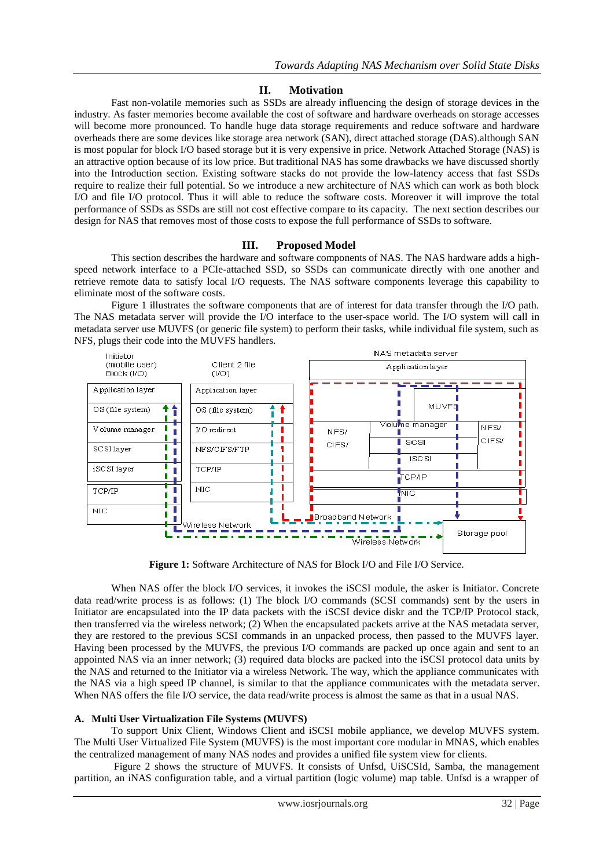# **II. Motivation**

Fast non-volatile memories such as SSDs are already influencing the design of storage devices in the industry. As faster memories become available the cost of software and hardware overheads on storage accesses will become more pronounced. To handle huge data storage requirements and reduce software and hardware overheads there are some devices like storage area network (SAN), direct attached storage (DAS).although SAN is most popular for block I/O based storage but it is very expensive in price. Network Attached Storage (NAS) is an attractive option because of its low price. But traditional NAS has some drawbacks we have discussed shortly into the Introduction section. Existing software stacks do not provide the low-latency access that fast SSDs require to realize their full potential. So we introduce a new architecture of NAS which can work as both block I/O and file I/O protocol. Thus it will able to reduce the software costs. Moreover it will improve the total performance of SSDs as SSDs are still not cost effective compare to its capacity. The next section describes our design for NAS that removes most of those costs to expose the full performance of SSDs to software.

## **III. Proposed Model**

This section describes the hardware and software components of NAS. The NAS hardware adds a highspeed network interface to a PCIe-attached SSD, so SSDs can communicate directly with one another and retrieve remote data to satisfy local I/O requests. The NAS software components leverage this capability to eliminate most of the software costs.

Figure 1 illustrates the software components that are of interest for data transfer through the I/O path. The NAS metadata server will provide the I/O interface to the user-space world. The I/O system will call in metadata server use MUVFS (or generic file system) to perform their tasks, while individual file system, such as NFS, plugs their code into the MUVFS handlers.



**Figure 1:** Software Architecture of NAS for Block I/O and File I/O Service.

When NAS offer the block I/O services, it invokes the iSCSI module, the asker is Initiator. Concrete data read/write process is as follows: (1) The block I/O commands (SCSI commands) sent by the users in Initiator are encapsulated into the IP data packets with the iSCSI device diskr and the TCP/IP Protocol stack, then transferred via the wireless network; (2) When the encapsulated packets arrive at the NAS metadata server, they are restored to the previous SCSI commands in an unpacked process, then passed to the MUVFS layer. Having been processed by the MUVFS, the previous I/O commands are packed up once again and sent to an appointed NAS via an inner network; (3) required data blocks are packed into the iSCSI protocol data units by the NAS and returned to the Initiator via a wireless Network. The way, which the appliance communicates with the NAS via a high speed IP channel, is similar to that the appliance communicates with the metadata server. When NAS offers the file I/O service, the data read/write process is almost the same as that in a usual NAS.

#### **A. Multi User Virtualization File Systems (MUVFS)**

To support Unix Client, Windows Client and iSCSI mobile appliance, we develop MUVFS system. The Multi User Virtualized File System (MUVFS) is the most important core modular in MNAS, which enables the centralized management of many NAS nodes and provides a unified file system view for clients.

Figure 2 shows the structure of MUVFS. It consists of Unfsd, UiSCSId, Samba, the management partition, an iNAS configuration table, and a virtual partition (logic volume) map table. Unfsd is a wrapper of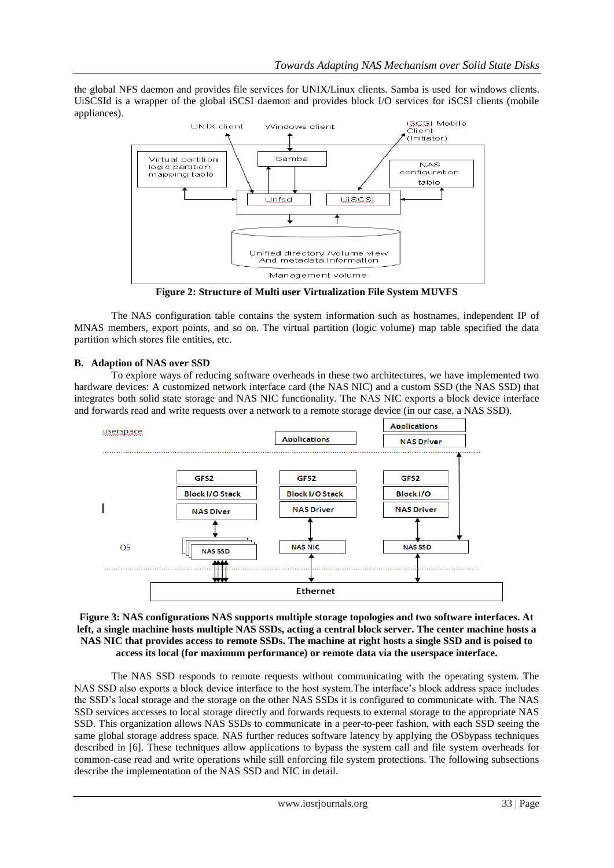the global NFS daemon and provides file services for UNIX/Linux clients. Samba is used for windows clients. UiSCSId is a wrapper of the global iSCSI daemon and provides block I/O services for iSCSI clients (mobile appliances).



**Figure 2: Structure of Multi user Virtualization File System MUVFS**

The NAS configuration table contains the system information such as hostnames, independent IP of MNAS members, export points, and so on. The virtual partition (logic volume) map table specified the data partition which stores file entities, etc.

# **B. Adaption of NAS over SSD**

To explore ways of reducing software overheads in these two architectures, we have implemented two hardware devices: A customized network interface card (the NAS NIC) and a custom SSD (the NAS SSD) that integrates both solid state storage and NAS NIC functionality. The NAS NIC exports a block device interface and forwards read and write requests over a network to a remote storage device (in our case, a NAS SSD).



**Figure 3: NAS configurations NAS supports multiple storage topologies and two software interfaces. At left, a single machine hosts multiple NAS SSDs, acting a central block server. The center machine hosts a NAS NIC that provides access to remote SSDs. The machine at right hosts a single SSD and is poised to access its local (for maximum performance) or remote data via the userspace interface.**

The NAS SSD responds to remote requests without communicating with the operating system. The NAS SSD also exports a block device interface to the host system.The interface's block address space includes the SSD's local storage and the storage on the other NAS SSDs it is configured to communicate with. The NAS SSD services accesses to local storage directly and forwards requests to external storage to the appropriate NAS SSD. This organization allows NAS SSDs to communicate in a peer-to-peer fashion, with each SSD seeing the same global storage address space. NAS further reduces software latency by applying the OSbypass techniques described in [6]. These techniques allow applications to bypass the system call and file system overheads for common-case read and write operations while still enforcing file system protections. The following subsections describe the implementation of the NAS SSD and NIC in detail.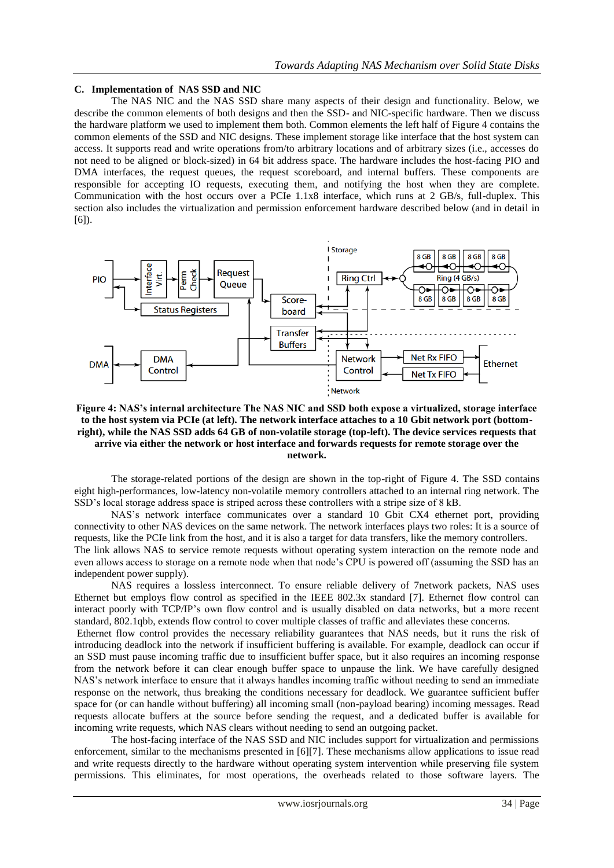## **C. Implementation of NAS SSD and NIC**

The NAS NIC and the NAS SSD share many aspects of their design and functionality. Below, we describe the common elements of both designs and then the SSD- and NIC-specific hardware. Then we discuss the hardware platform we used to implement them both. Common elements the left half of Figure 4 contains the common elements of the SSD and NIC designs. These implement storage like interface that the host system can access. It supports read and write operations from/to arbitrary locations and of arbitrary sizes (i.e., accesses do not need to be aligned or block-sized) in 64 bit address space. The hardware includes the host-facing PIO and DMA interfaces, the request queues, the request scoreboard, and internal buffers. These components are responsible for accepting IO requests, executing them, and notifying the host when they are complete. Communication with the host occurs over a PCIe 1.1x8 interface, which runs at 2 GB/s, full-duplex. This section also includes the virtualization and permission enforcement hardware described below (and in detail in [6]).



**Figure 4: NAS's internal architecture The NAS NIC and SSD both expose a virtualized, storage interface to the host system via PCIe (at left). The network interface attaches to a 10 Gbit network port (bottomright), while the NAS SSD adds 64 GB of non-volatile storage (top-left). The device services requests that arrive via either the network or host interface and forwards requests for remote storage over the network.**

The storage-related portions of the design are shown in the top-right of Figure 4. The SSD contains eight high-performances, low-latency non-volatile memory controllers attached to an internal ring network. The SSD's local storage address space is striped across these controllers with a stripe size of 8 kB.

NAS's network interface communicates over a standard 10 Gbit CX4 ethernet port, providing connectivity to other NAS devices on the same network. The network interfaces plays two roles: It is a source of requests, like the PCIe link from the host, and it is also a target for data transfers, like the memory controllers.

The link allows NAS to service remote requests without operating system interaction on the remote node and even allows access to storage on a remote node when that node's CPU is powered off (assuming the SSD has an independent power supply).

NAS requires a lossless interconnect. To ensure reliable delivery of 7network packets, NAS uses Ethernet but employs flow control as specified in the IEEE 802.3x standard [7]. Ethernet flow control can interact poorly with TCP/IP's own flow control and is usually disabled on data networks, but a more recent standard, 802.1qbb, extends flow control to cover multiple classes of traffic and alleviates these concerns.

Ethernet flow control provides the necessary reliability guarantees that NAS needs, but it runs the risk of introducing deadlock into the network if insufficient buffering is available. For example, deadlock can occur if an SSD must pause incoming traffic due to insufficient buffer space, but it also requires an incoming response from the network before it can clear enough buffer space to unpause the link. We have carefully designed NAS's network interface to ensure that it always handles incoming traffic without needing to send an immediate response on the network, thus breaking the conditions necessary for deadlock. We guarantee sufficient buffer space for (or can handle without buffering) all incoming small (non-payload bearing) incoming messages. Read requests allocate buffers at the source before sending the request, and a dedicated buffer is available for incoming write requests, which NAS clears without needing to send an outgoing packet.

The host-facing interface of the NAS SSD and NIC includes support for virtualization and permissions enforcement, similar to the mechanisms presented in [6][7]. These mechanisms allow applications to issue read and write requests directly to the hardware without operating system intervention while preserving file system permissions. This eliminates, for most operations, the overheads related to those software layers. The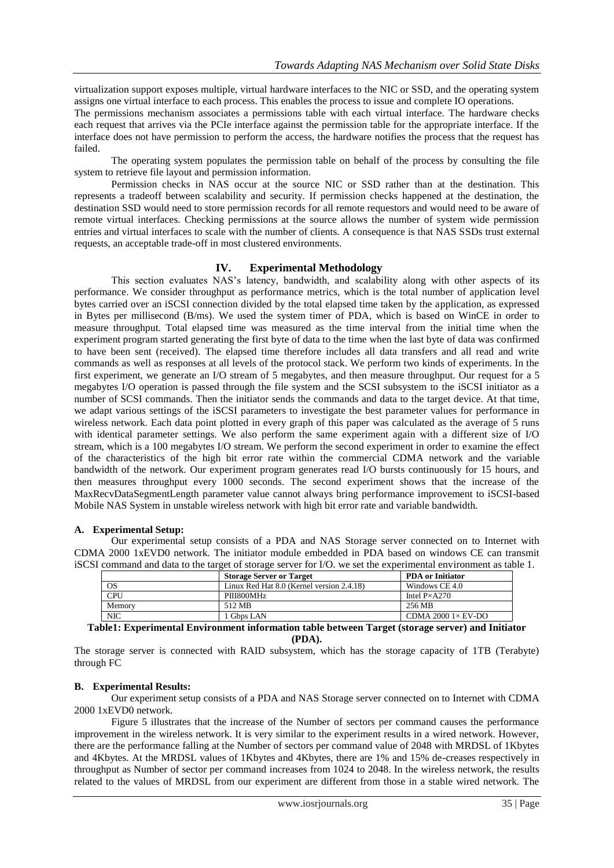virtualization support exposes multiple, virtual hardware interfaces to the NIC or SSD, and the operating system assigns one virtual interface to each process. This enables the process to issue and complete IO operations.

The permissions mechanism associates a permissions table with each virtual interface. The hardware checks each request that arrives via the PCIe interface against the permission table for the appropriate interface. If the interface does not have permission to perform the access, the hardware notifies the process that the request has failed.

The operating system populates the permission table on behalf of the process by consulting the file system to retrieve file layout and permission information.

Permission checks in NAS occur at the source NIC or SSD rather than at the destination. This represents a tradeoff between scalability and security. If permission checks happened at the destination, the destination SSD would need to store permission records for all remote requestors and would need to be aware of remote virtual interfaces. Checking permissions at the source allows the number of system wide permission entries and virtual interfaces to scale with the number of clients. A consequence is that NAS SSDs trust external requests, an acceptable trade-off in most clustered environments.

## **IV. Experimental Methodology**

This section evaluates NAS's latency, bandwidth, and scalability along with other aspects of its performance. We consider throughput as performance metrics, which is the total number of application level bytes carried over an iSCSI connection divided by the total elapsed time taken by the application, as expressed in Bytes per millisecond (B/ms). We used the system timer of PDA, which is based on WinCE in order to measure throughput. Total elapsed time was measured as the time interval from the initial time when the experiment program started generating the first byte of data to the time when the last byte of data was confirmed to have been sent (received). The elapsed time therefore includes all data transfers and all read and write commands as well as responses at all levels of the protocol stack. We perform two kinds of experiments. In the first experiment, we generate an I/O stream of 5 megabytes, and then measure throughput. Our request for a 5 megabytes I/O operation is passed through the file system and the SCSI subsystem to the iSCSI initiator as a number of SCSI commands. Then the initiator sends the commands and data to the target device. At that time, we adapt various settings of the iSCSI parameters to investigate the best parameter values for performance in wireless network. Each data point plotted in every graph of this paper was calculated as the average of 5 runs with identical parameter settings. We also perform the same experiment again with a different size of I/O stream, which is a 100 megabytes I/O stream. We perform the second experiment in order to examine the effect of the characteristics of the high bit error rate within the commercial CDMA network and the variable bandwidth of the network. Our experiment program generates read I/O bursts continuously for 15 hours, and then measures throughput every 1000 seconds. The second experiment shows that the increase of the MaxRecvDataSegmentLength parameter value cannot always bring performance improvement to iSCSI-based Mobile NAS System in unstable wireless network with high bit error rate and variable bandwidth.

#### **A. Experimental Setup:**

Our experimental setup consists of a PDA and NAS Storage server connected on to Internet with CDMA 2000 1xEVD0 network. The initiator module embedded in PDA based on windows CE can transmit iSCSI command and data to the target of storage server for I/O. we set the experimental environment as table 1.

|            | <b>Storage Server or Target</b>           | <b>PDA</b> or Initiator   |
|------------|-------------------------------------------|---------------------------|
| <b>OS</b>  | Linux Red Hat 8.0 (Kernel version 2.4.18) | Windows CE 4.0            |
| <b>CPU</b> | PIII800MHz                                | Intel $P \times A270$     |
| Memory     | 512 MB                                    | 256 MB                    |
| <b>NIC</b> | l Gbps LAN                                | CDMA 2000 $1\times$ EV-DO |

**Table1: Experimental Environment information table between Target (storage server) and Initiator (PDA).**

The storage server is connected with RAID subsystem, which has the storage capacity of 1TB (Terabyte) through FC

#### **B. Experimental Results:**

Our experiment setup consists of a PDA and NAS Storage server connected on to Internet with CDMA 2000 1xEVD0 network.

Figure 5 illustrates that the increase of the Number of sectors per command causes the performance improvement in the wireless network. It is very similar to the experiment results in a wired network. However, there are the performance falling at the Number of sectors per command value of 2048 with MRDSL of 1Kbytes and 4Kbytes. At the MRDSL values of 1Kbytes and 4Kbytes, there are 1% and 15% de-creases respectively in throughput as Number of sector per command increases from 1024 to 2048. In the wireless network, the results related to the values of MRDSL from our experiment are different from those in a stable wired network. The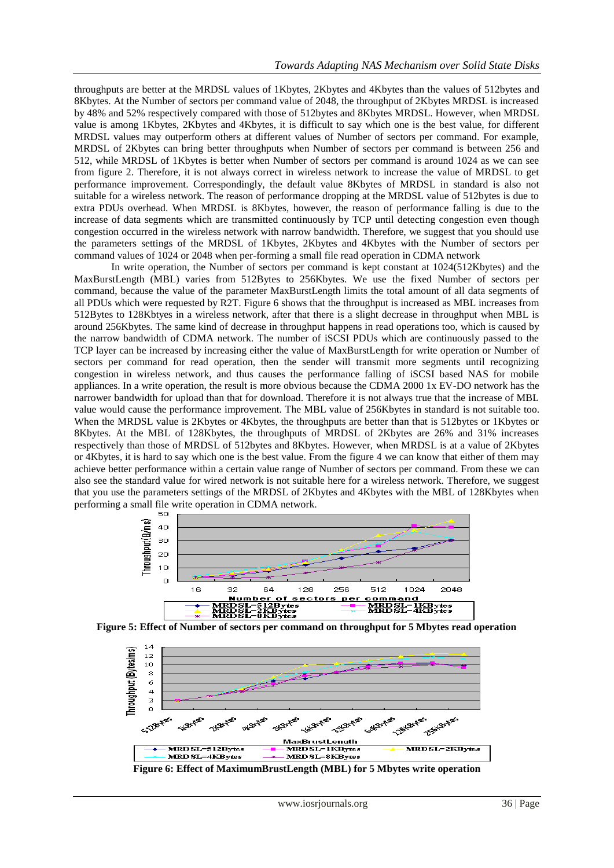throughputs are better at the MRDSL values of 1Kbytes, 2Kbytes and 4Kbytes than the values of 512bytes and 8Kbytes. At the Number of sectors per command value of 2048, the throughput of 2Kbytes MRDSL is increased by 48% and 52% respectively compared with those of 512bytes and 8Kbytes MRDSL. However, when MRDSL value is among 1Kbytes, 2Kbytes and 4Kbytes, it is difficult to say which one is the best value, for different MRDSL values may outperform others at different values of Number of sectors per command. For example, MRDSL of 2Kbytes can bring better throughputs when Number of sectors per command is between 256 and 512, while MRDSL of 1Kbytes is better when Number of sectors per command is around 1024 as we can see from figure 2. Therefore, it is not always correct in wireless network to increase the value of MRDSL to get performance improvement. Correspondingly, the default value 8Kbytes of MRDSL in standard is also not suitable for a wireless network. The reason of performance dropping at the MRDSL value of 512bytes is due to extra PDUs overhead. When MRDSL is 8Kbytes, however, the reason of performance falling is due to the increase of data segments which are transmitted continuously by TCP until detecting congestion even though congestion occurred in the wireless network with narrow bandwidth. Therefore, we suggest that you should use the parameters settings of the MRDSL of 1Kbytes, 2Kbytes and 4Kbytes with the Number of sectors per command values of 1024 or 2048 when per-forming a small file read operation in CDMA network

In write operation, the Number of sectors per command is kept constant at 1024(512Kbytes) and the MaxBurstLength (MBL) varies from 512Bytes to 256Kbytes. We use the fixed Number of sectors per command, because the value of the parameter MaxBurstLength limits the total amount of all data segments of all PDUs which were requested by R2T. Figure 6 shows that the throughput is increased as MBL increases from 512Bytes to 128Kbtyes in a wireless network, after that there is a slight decrease in throughput when MBL is around 256Kbytes. The same kind of decrease in throughput happens in read operations too, which is caused by the narrow bandwidth of CDMA network. The number of iSCSI PDUs which are continuously passed to the TCP layer can be increased by increasing either the value of MaxBurstLength for write operation or Number of sectors per command for read operation, then the sender will transmit more segments until recognizing congestion in wireless network, and thus causes the performance falling of iSCSI based NAS for mobile appliances. In a write operation, the result is more obvious because the CDMA 2000 1x EV-DO network has the narrower bandwidth for upload than that for download. Therefore it is not always true that the increase of MBL value would cause the performance improvement. The MBL value of 256Kbytes in standard is not suitable too. When the MRDSL value is 2Kbytes or 4Kbytes, the throughputs are better than that is 512bytes or 1Kbytes or 8Kbytes. At the MBL of 128Kbytes, the throughputs of MRDSL of 2Kbytes are 26% and 31% increases respectively than those of MRDSL of 512bytes and 8Kbytes. However, when MRDSL is at a value of 2Kbytes or 4Kbytes, it is hard to say which one is the best value. From the figure 4 we can know that either of them may achieve better performance within a certain value range of Number of sectors per command. From these we can also see the standard value for wired network is not suitable here for a wireless network. Therefore, we suggest that you use the parameters settings of the MRDSL of 2Kbytes and 4Kbytes with the MBL of 128Kbytes when performing a small file write operation in CDMA network.







**Figure 6: Effect of MaximumBrustLength (MBL) for 5 Mbytes write operation**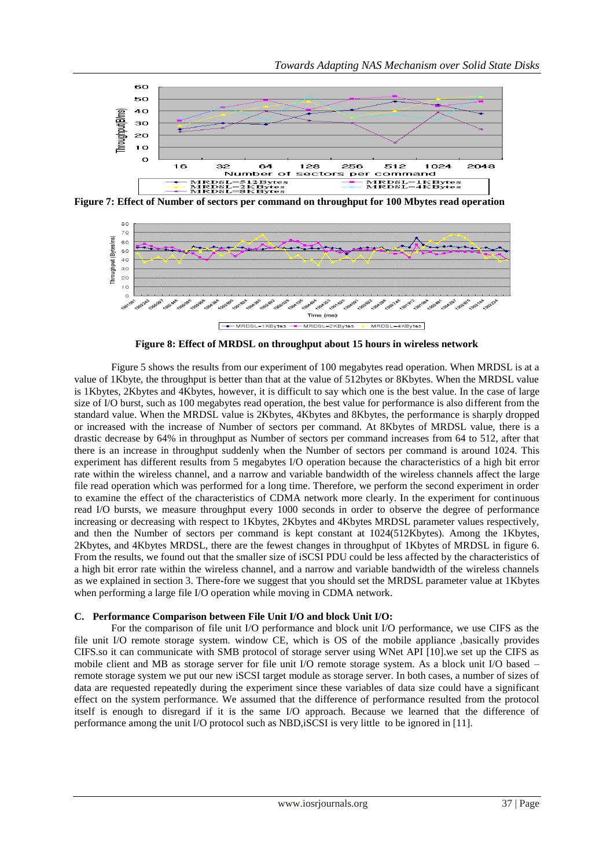

**Figure 7: Effect of Number of sectors per command on throughput for 100 Mbytes read operation**



**Figure 8: Effect of MRDSL on throughput about 15 hours in wireless network**

Figure 5 shows the results from our experiment of 100 megabytes read operation. When MRDSL is at a value of 1Kbyte, the throughput is better than that at the value of 512bytes or 8Kbytes. When the MRDSL value is 1Kbytes, 2Kbytes and 4Kbytes, however, it is difficult to say which one is the best value. In the case of large size of I/O burst, such as 100 megabytes read operation, the best value for performance is also different from the standard value. When the MRDSL value is 2Kbytes, 4Kbytes and 8Kbytes, the performance is sharply dropped or increased with the increase of Number of sectors per command. At 8Kbytes of MRDSL value, there is a drastic decrease by 64% in throughput as Number of sectors per command increases from 64 to 512, after that there is an increase in throughput suddenly when the Number of sectors per command is around 1024. This experiment has different results from 5 megabytes I/O operation because the characteristics of a high bit error rate within the wireless channel, and a narrow and variable bandwidth of the wireless channels affect the large file read operation which was performed for a long time. Therefore, we perform the second experiment in order to examine the effect of the characteristics of CDMA network more clearly. In the experiment for continuous read I/O bursts, we measure throughput every 1000 seconds in order to observe the degree of performance increasing or decreasing with respect to 1Kbytes, 2Kbytes and 4Kbytes MRDSL parameter values respectively, and then the Number of sectors per command is kept constant at 1024(512Kbytes). Among the 1Kbytes, 2Kbytes, and 4Kbytes MRDSL, there are the fewest changes in throughput of 1Kbytes of MRDSL in figure 6. From the results, we found out that the smaller size of iSCSI PDU could be less affected by the characteristics of a high bit error rate within the wireless channel, and a narrow and variable bandwidth of the wireless channels as we explained in section 3. There-fore we suggest that you should set the MRDSL parameter value at 1Kbytes when performing a large file I/O operation while moving in CDMA network.

# **C. Performance Comparison between File Unit I/O and block Unit I/O:**

For the comparison of file unit I/O performance and block unit I/O performance, we use CIFS as the file unit I/O remote storage system. window CE, which is OS of the mobile appliance ,basically provides CIFS.so it can communicate with SMB protocol of storage server using WNet API [10].we set up the CIFS as mobile client and MB as storage server for file unit I/O remote storage system. As a block unit I/O based – remote storage system we put our new iSCSI target module as storage server. In both cases, a number of sizes of data are requested repeatedly during the experiment since these variables of data size could have a significant effect on the system performance. We assumed that the difference of performance resulted from the protocol itself is enough to disregard if it is the same I/O approach. Because we learned that the difference of performance among the unit I/O protocol such as NBD,iSCSI is very little to be ignored in [11].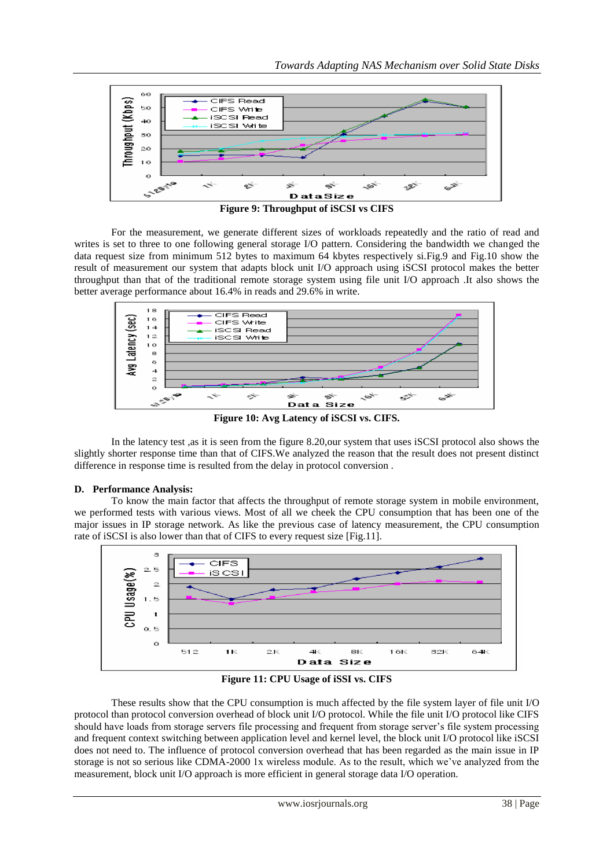

**Figure 9: Throughput of iSCSI vs CIFS**

For the measurement, we generate different sizes of workloads repeatedly and the ratio of read and writes is set to three to one following general storage I/O pattern. Considering the bandwidth we changed the data request size from minimum 512 bytes to maximum 64 kbytes respectively si.Fig.9 and Fig.10 show the result of measurement our system that adapts block unit I/O approach using iSCSI protocol makes the better throughput than that of the traditional remote storage system using file unit I/O approach .It also shows the better average performance about 16.4% in reads and 29.6% in write.



**Figure 10: Avg Latency of iSCSI vs. CIFS.**

In the latency test ,as it is seen from the figure 8.20,our system that uses iSCSI protocol also shows the slightly shorter response time than that of CIFS.We analyzed the reason that the result does not present distinct difference in response time is resulted from the delay in protocol conversion .

# **D. Performance Analysis:**

To know the main factor that affects the throughput of remote storage system in mobile environment, we performed tests with various views. Most of all we cheek the CPU consumption that has been one of the major issues in IP storage network. As like the previous case of latency measurement, the CPU consumption rate of iSCSI is also lower than that of CIFS to every request size [Fig.11].





These results show that the CPU consumption is much affected by the file system layer of file unit I/O protocol than protocol conversion overhead of block unit I/O protocol. While the file unit I/O protocol like CIFS should have loads from storage servers file processing and frequent from storage server's file system processing and frequent context switching between application level and kernel level, the block unit I/O protocol like iSCSI does not need to. The influence of protocol conversion overhead that has been regarded as the main issue in IP storage is not so serious like CDMA-2000 1x wireless module. As to the result, which we've analyzed from the measurement, block unit I/O approach is more efficient in general storage data I/O operation.